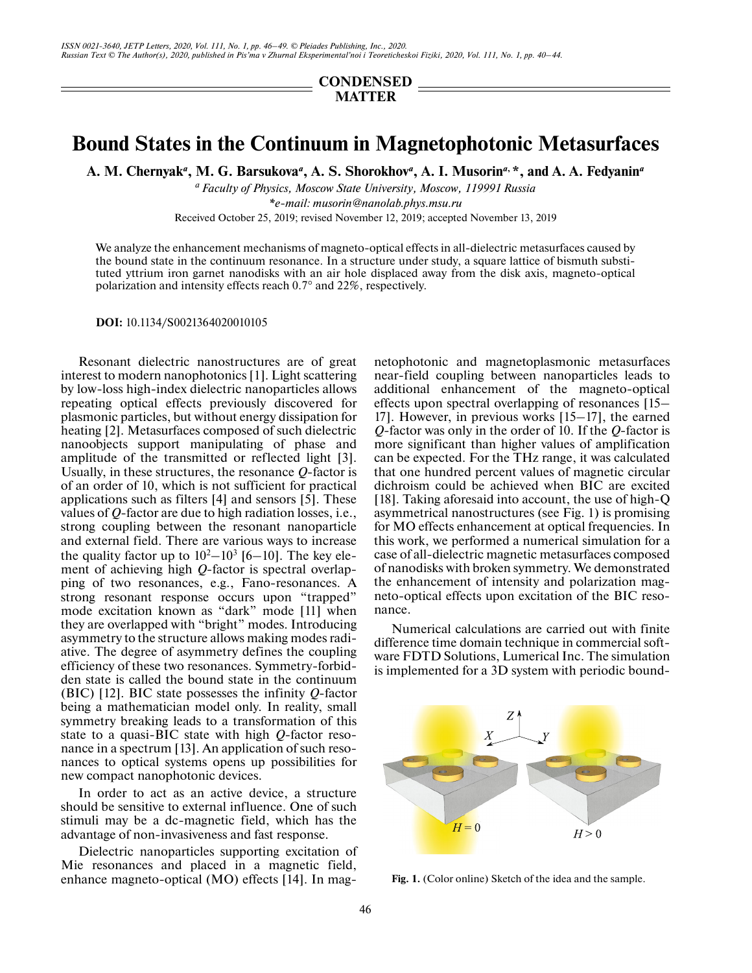## **CONDENSED MATTER**

## **Bound States in the Continuum in Magnetophotonic Metasurfaces**

**A. M. Chernyak***<sup>a</sup>* **, M. G. Barsukova***a***, A. S. Shorokhov***<sup>a</sup>* **, A. I. Musorin***a***, \*, and A. A. Fedyanin***<sup>a</sup>*

*a Faculty of Physics, Moscow State University, Moscow, 119991 Russia \*e-mail: musorin@nanolab.phys.msu.ru* Received October 25, 2019; revised November 12, 2019; accepted November 13, 2019

We analyze the enhancement mechanisms of magneto-optical effects in all-dielectric metasurfaces caused by the bound state in the continuum resonance. In a structure under study, a square lattice of bismuth substituted yttrium iron garnet nanodisks with an air hole displaced away from the disk axis, magneto-optical polarization and intensity effects reach 0.7° and 22%, respectively.

**DOI:** 10.1134/S0021364020010105

Resonant dielectric nanostructures are of great interest to modern nanophotonics [1]. Light scattering by low-loss high-index dielectric nanoparticles allows repeating optical effects previously discovered for plasmonic particles, but without energy dissipation for heating [2]. Metasurfaces composed of such dielectric nanoobjects support manipulating of phase and amplitude of the transmitted or reflected light [3]. Usually, in these structures, the resonance *Q*-factor is of an order of 10, which is not sufficient for practical applications such as filters [4] and sensors [5]. These values of *Q*-factor are due to high radiation losses, i.e., strong coupling between the resonant nanoparticle and external field. There are various ways to increase the quality factor up to  $10^2 - 10^3$  [6–10]. The key element of achieving high *Q*-factor is spectral overlapping of two resonances, e.g., Fano-resonances. A strong resonant response occurs upon "trapped" mode excitation known as "dark" mode [11] when they are overlapped with "bright" modes. Introducing asymmetry to the structure allows making modes radiative. The degree of asymmetry defines the coupling efficiency of these two resonances. Symmetry-forbidden state is called the bound state in the continuum (BIC) [12]. BIC state possesses the infinity *Q*-factor being a mathematician model only. In reality, small symmetry breaking leads to a transformation of this state to a quasi-BIC state with high *Q*-factor resonance in a spectrum [13]. An application of such resonances to optical systems opens up possibilities for new compact nanophotonic devices.

In order to act as an active device, a structure should be sensitive to external influence. One of such stimuli may be a dc-magnetic field, which has the advantage of non-invasiveness and fast response.

Dielectric nanoparticles supporting excitation of Mie resonances and placed in a magnetic field, enhance magneto-optical (MO) effects [14]. In magnetophotonic and magnetoplasmonic metasurfaces near-field coupling between nanoparticles leads to additional enhancement of the magneto-optical effects upon spectral overlapping of resonances [15– 17]. However, in previous works [15–17], the earned *Q*-factor was only in the order of 10. If the *Q*-factor is more significant than higher values of amplification can be expected. For the THz range, it was calculated that one hundred percent values of magnetic circular dichroism could be achieved when BIC are excited [18]. Taking aforesaid into account, the use of high-Q asymmetrical nanostructures (see Fig. 1) is promising for MO effects enhancement at optical frequencies. In this work, we performed a numerical simulation for a case of all-dielectric magnetic metasurfaces composed of nanodisks with broken symmetry. We demonstrated the enhancement of intensity and polarization magneto-optical effects upon excitation of the BIC resonance.

Numerical calculations are carried out with finite difference time domain technique in commercial software FDTD Solutions, Lumerical Inc. The simulation is implemented for a 3D system with periodic bound-



Fig. 1. (Color online) Sketch of the idea and the sample.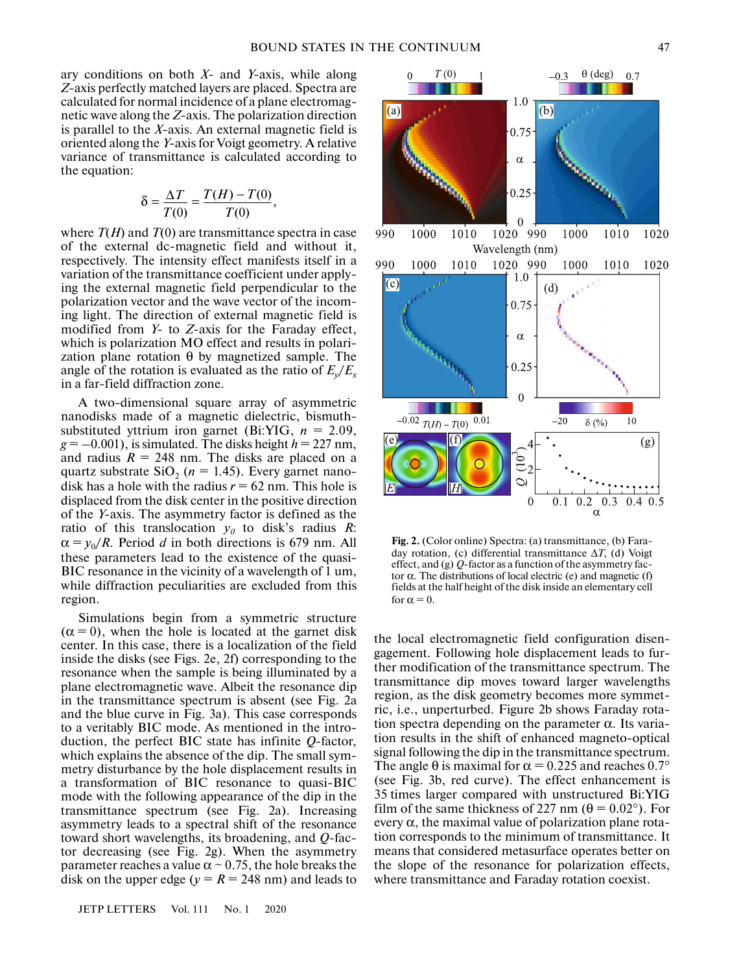ary conditions on both *X*- and *Y*-axis, while along *Z*-axis perfectly matched layers are placed. Spectra are calculated for normal incidence of a plane electromagnetic wave along the *Z*-axis. The polarization direction is parallel to the *X*-axis. An external magnetic field is oriented along the *Y*-axis for Voigt geometry. A relative variance of transmittance is calculated according to the equation:

$$
\delta = \frac{\Delta T}{T(0)} = \frac{T(H) - T(0)}{T(0)},
$$

where  $T(H)$  and  $T(0)$  are transmittance spectra in case of the external dc-magnetic field and without it, respectively. The intensity effect manifests itself in a variation of the transmittance coefficient under applying the external magnetic field perpendicular to the polarization vector and the wave vector of the incoming light. The direction of external magnetic field is modified from *Y*- to *Z*-axis for the Faraday effect, which is polarization MO effect and results in polarization plane rotation θ by magnetized sample. The angle of the rotation is evaluated as the ratio of  $E_v/E_x$ in a far-field diffraction zone.

A two-dimensional square array of asymmetric nanodisks made of a magnetic dielectric, bismuthsubstituted yttrium iron garnet (Bi:YIG, *n* = 2.09,  $g = -0.001$ , is simulated. The disks height  $h = 227$  nm, and radius  $R = 248$  nm. The disks are placed on a quartz substrate  $SiO_2$  ( $n = 1.45$ ). Every garnet nanodisk has a hole with the radius  $r = 62$  nm. This hole is displaced from the disk center in the positive direction of the *Y*-axis. The asymmetry factor is defined as the ratio of this translocation  $y_0$  to disk's radius *R*:  $\alpha = y_0/R$ . Period *d* in both directions is 679 nm. All these parameters lead to the existence of the quasi-BIC resonance in the vicinity of a wavelength of 1 um, while diffraction peculiarities are excluded from this region.

Simulations begin from a symmetric structure  $(\alpha = 0)$ , when the hole is located at the garnet disk center. In this case, there is a localization of the field inside the disks (see Figs. 2e, 2f) corresponding to the resonance when the sample is being illuminated by a plane electromagnetic wave. Albeit the resonance dip in the transmittance spectrum is absent (see Fig. 2a and the blue curve in Fig. 3a). This case corresponds to a veritably BIC mode. As mentioned in the introduction, the perfect BIC state has infinite *Q*-factor, which explains the absence of the dip. The small symmetry disturbance by the hole displacement results in a transformation of BIC resonance to quasi-BIC mode with the following appearance of the dip in the transmittance spectrum (see Fig. 2a). Increasing asymmetry leads to a spectral shift of the resonance toward short wavelengths, its broadening, and *Q*-factor decreasing (see Fig. 2g). When the asymmetry parameter reaches a value  $\alpha \sim 0.75$ , the hole breaks the disk on the upper edge ( $y = R = 248$  nm) and leads to



**Fig. 2.** (Color online) Spectra: (a) transmittance, (b) Faraday rotation, (c) differential transmittance Δ*T*, (d) Voigt effect, and (g) *Q*-factor as a function of the asymmetry factor α. The distributions of local electric (e) and magnetic (f) fields at the half height of the disk inside an elementary cell for  $\alpha = 0$ .

the local electromagnetic field configuration disengagement. Following hole displacement leads to further modification of the transmittance spectrum. The transmittance dip moves toward larger wavelengths region, as the disk geometry becomes more symmetric, i.e., unperturbed. Figure 2b shows Faraday rotation spectra depending on the parameter  $\alpha$ . Its variation results in the shift of enhanced magneto-optical signal following the dip in the transmittance spectrum. The angle  $\theta$  is maximal for  $\alpha = 0.225$  and reaches  $0.7^{\circ}$ (see Fig. 3b, red curve). The effect enhancement is 35 times larger compared with unstructured Bi:YIG film of the same thickness of 227 nm ( $\theta = 0.02^{\circ}$ ). For every  $\alpha$ , the maximal value of polarization plane rotation corresponds to the minimum of transmittance. It means that considered metasurface operates better on the slope of the resonance for polarization effects, where transmittance and Faraday rotation coexist.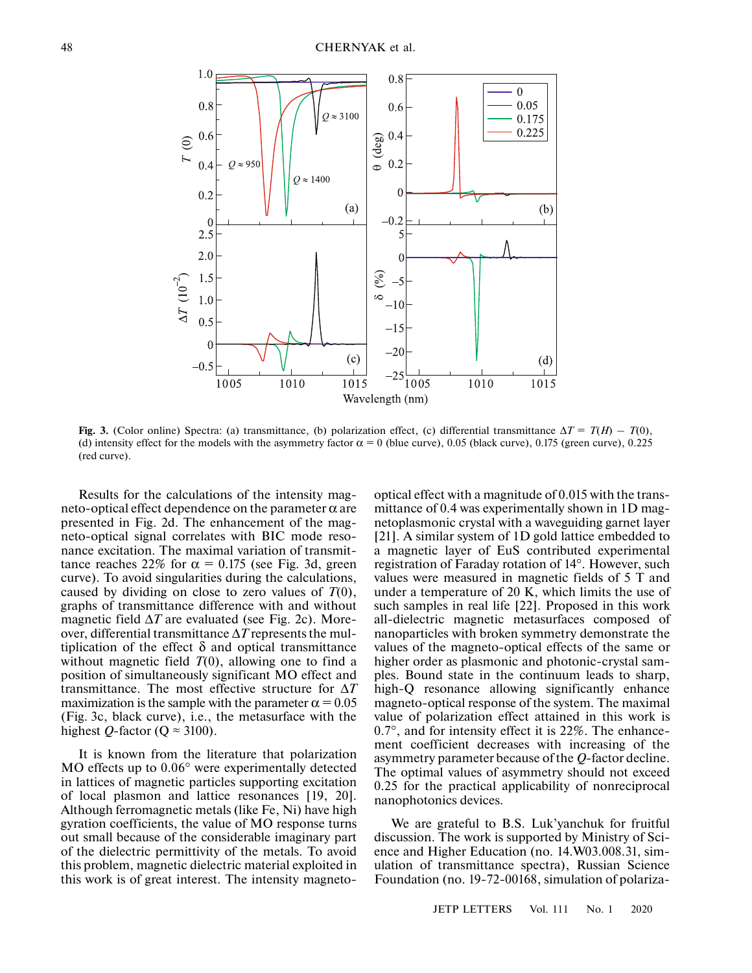

**Fig. 3.** (Color online) Spectra: (a) transmittance, (b) polarization effect, (c) differential transmittance  $\Delta T = T(H) - T(0)$ , (d) intensity effect for the models with the asymmetry factor  $\alpha = 0$  (blue curve), 0.05 (black curve), 0.175 (green curve), 0.225 (red curve).

Results for the calculations of the intensity magneto-optical effect dependence on the parameter  $α$  are presented in Fig. 2d. The enhancement of the magneto-optical signal correlates with BIC mode resonance excitation. The maximal variation of transmittance reaches 22% for  $\alpha = 0.175$  (see Fig. 3d, green curve). To avoid singularities during the calculations, caused by dividing on close to zero values of  $T(0)$ , graphs of transmittance difference with and without magnetic field  $\Delta T$  are evaluated (see Fig. 2c). Moreover, differential transmittance Δ*T* represents the multiplication of the effect δ and optical transmittance without magnetic field  $T(0)$ , allowing one to find a position of simultaneously significant MO effect and transmittance. The most effective structure for Δ*T* maximization is the sample with the parameter  $\alpha = 0.05$ (Fig. 3с, black curve), i.e., the metasurface with the highest *Q*-factor ( $Q \approx 3100$ ).

It is known from the literature that polarization MO effects up to 0.06° were experimentally detected in lattices of magnetic particles supporting excitation of local plasmon and lattice resonances [19, 20]. Although ferromagnetic metals (like Fe, Ni) have high gyration coefficients, the value of MO response turns out small because of the considerable imaginary part of the dielectric permittivity of the metals. To avoid this problem, magnetic dielectric material exploited in this work is of great interest. The intensity magnetooptical effect with a magnitude of 0.015 with the transmittance of 0.4 was experimentally shown in 1D magnetoplasmonic crystal with a waveguiding garnet layer [21]. A similar system of 1D gold lattice embedded to a magnetic layer of EuS contributed experimental registration of Faraday rotation of 14°. However, such values were measured in magnetic fields of 5 T and under a temperature of 20 K, which limits the use of such samples in real life [22]. Proposed in this work all-dielectric magnetic metasurfaces composed of nanoparticles with broken symmetry demonstrate the values of the magneto-optical effects of the same or higher order as plasmonic and photonic-crystal samples. Bound state in the continuum leads to sharp, high-Q resonance allowing significantly enhance magneto-optical response of the system. The maximal value of polarization effect attained in this work is 0.7°, and for intensity effect it is 22%. The enhancement coefficient decreases with increasing of the asymmetry parameter because of the *Q*-factor decline. The optimal values of asymmetry should not exceed 0.25 for the practical applicability of nonreciprocal nanophotonics devices.

We are grateful to B.S. Luk'yanchuk for fruitful discussion. The work is supported by Ministry of Science and Higher Education (no. 14.W03.008.31, simulation of transmittance spectra), Russian Science Foundation (no. 19-72-00168, simulation of polariza